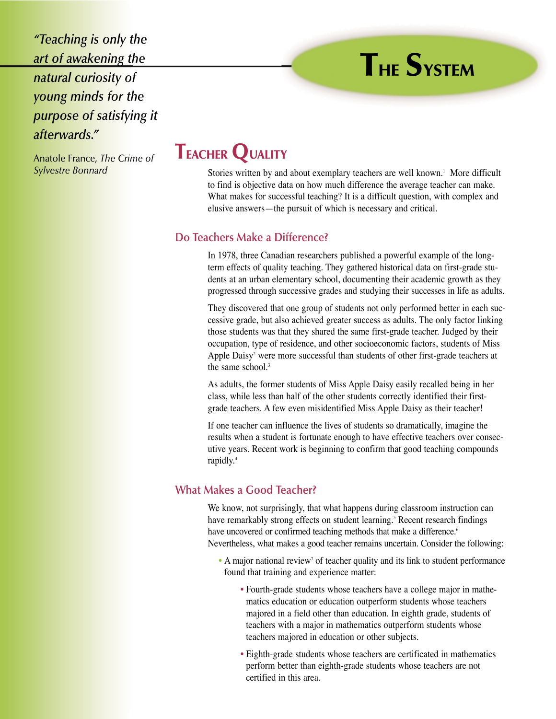*"Teaching is only the art of awakening the natural curiosity of young minds for the purpose of satisfying it afterwards."*

#### Anatole France, *The Crime of Sylvestre Bonnard*

# **TEACHER QUALITY**

Stories written by and about exemplary teachers are well known.<sup>1</sup> More difficult to find is objective data on how much difference the average teacher can make. What makes for successful teaching? It is a difficult question, with complex and elusive answers—the pursuit of which is necessary and critical.

**THE SYSTEM**

# **Do Teachers Make a Difference?**

In 1978, three Canadian researchers published a powerful example of the longterm effects of quality teaching. They gathered historical data on first-grade students at an urban elementary school, documenting their academic growth as they progressed through successive grades and studying their successes in life as adults.

They discovered that one group of students not only performed better in each successive grade, but also achieved greater success as adults. The only factor linking those students was that they shared the same first-grade teacher. Judged by their occupation, type of residence, and other socioeconomic factors, students of Miss Apple Daisy<sup>2</sup> were more successful than students of other first-grade teachers at the same school.<sup>3</sup>

As adults, the former students of Miss Apple Daisy easily recalled being in her class, while less than half of the other students correctly identified their firstgrade teachers. A few even misidentified Miss Apple Daisy as their teacher!

If one teacher can influence the lives of students so dramatically, imagine the results when a student is fortunate enough to have effective teachers over consecutive years. Recent work is beginning to confirm that good teaching compounds rapidly.4

# **What Makes a Good Teacher?**

We know, not surprisingly, that what happens during classroom instruction can have remarkably strong effects on student learning.<sup>5</sup> Recent research findings have uncovered or confirmed teaching methods that make a difference.<sup>6</sup> Nevertheless, what makes a good teacher remains uncertain. Consider the following:

- A major national review<sup>7</sup> of teacher quality and its link to student performance found that training and experience matter:
	- Fourth-grade students whose teachers have a college major in mathematics education or education outperform students whose teachers majored in a field other than education. In eighth grade, students of teachers with a major in mathematics outperform students whose teachers majored in education or other subjects.
	- Eighth-grade students whose teachers are certificated in mathematics perform better than eighth-grade students whose teachers are not certified in this area.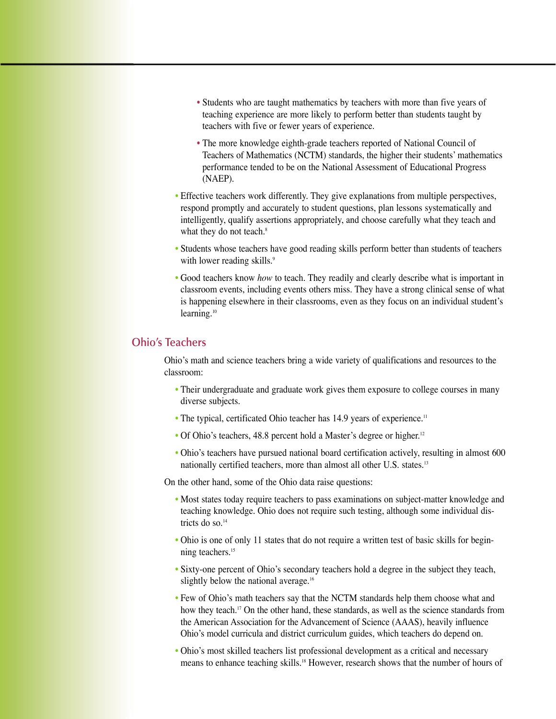- Students who are taught mathematics by teachers with more than five years of teaching experience are more likely to perform better than students taught by teachers with five or fewer years of experience.
- The more knowledge eighth-grade teachers reported of National Council of Teachers of Mathematics (NCTM) standards, the higher their students' mathematics performance tended to be on the National Assessment of Educational Progress (NAEP).
- Effective teachers work differently. They give explanations from multiple perspectives, respond promptly and accurately to student questions, plan lessons systematically and intelligently, qualify assertions appropriately, and choose carefully what they teach and what they do not teach.<sup>8</sup>
- Students whose teachers have good reading skills perform better than students of teachers with lower reading skills.<sup>9</sup>
- Good teachers know *how* to teach. They readily and clearly describe what is important in classroom events, including events others miss. They have a strong clinical sense of what is happening elsewhere in their classrooms, even as they focus on an individual student's learning.<sup>10</sup>

# **Ohio's Teachers**

Ohio's math and science teachers bring a wide variety of qualifications and resources to the classroom:

- Their undergraduate and graduate work gives them exposure to college courses in many diverse subjects.
- The typical, certificated Ohio teacher has 14.9 years of experience.<sup>11</sup>
- Of Ohio's teachers, 48.8 percent hold a Master's degree or higher.<sup>12</sup>
- Ohio's teachers have pursued national board certification actively, resulting in almost 600 nationally certified teachers, more than almost all other U.S. states.13

On the other hand, some of the Ohio data raise questions:

- Most states today require teachers to pass examinations on subject-matter knowledge and teaching knowledge. Ohio does not require such testing, although some individual districts do so.<sup>14</sup>
- Ohio is one of only 11 states that do not require a written test of basic skills for beginning teachers.<sup>15</sup>
- Sixty-one percent of Ohio's secondary teachers hold a degree in the subject they teach, slightly below the national average.<sup>16</sup>
- Few of Ohio's math teachers say that the NCTM standards help them choose what and how they teach.<sup>17</sup> On the other hand, these standards, as well as the science standards from the American Association for the Advancement of Science (AAAS), heavily influence Ohio's model curricula and district curriculum guides, which teachers do depend on.
- Ohio's most skilled teachers list professional development as a critical and necessary means to enhance teaching skills.18 However, research shows that the number of hours of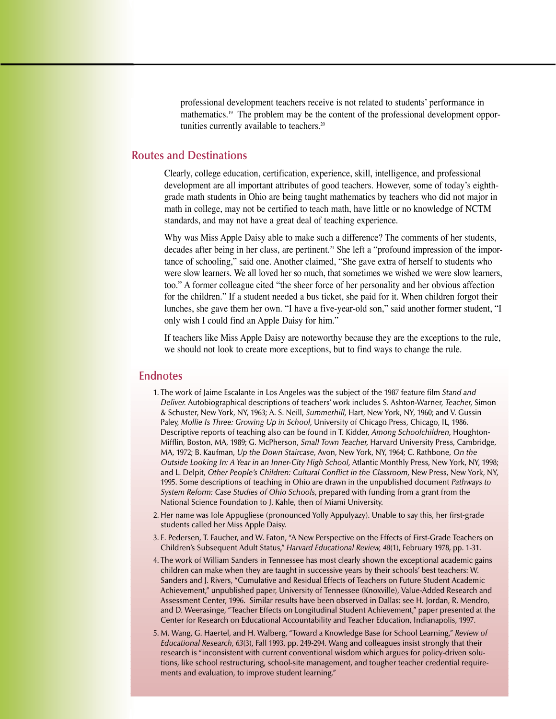professional development teachers receive is not related to students' performance in mathematics.<sup>19</sup> The problem may be the content of the professional development opportunities currently available to teachers.<sup>20</sup>

#### **Routes and Destinations**

Clearly, college education, certification, experience, skill, intelligence, and professional development are all important attributes of good teachers. However, some of today's eighthgrade math students in Ohio are being taught mathematics by teachers who did not major in math in college, may not be certified to teach math, have little or no knowledge of NCTM standards, and may not have a great deal of teaching experience.

Why was Miss Apple Daisy able to make such a difference? The comments of her students, decades after being in her class, are pertinent.<sup>21</sup> She left a "profound impression of the importance of schooling," said one. Another claimed, "She gave extra of herself to students who were slow learners. We all loved her so much, that sometimes we wished we were slow learners, too." A former colleague cited "the sheer force of her personality and her obvious affection for the children." If a student needed a bus ticket, she paid for it. When children forgot their lunches, she gave them her own. "I have a five-year-old son," said another former student, "I only wish I could find an Apple Daisy for him."

If teachers like Miss Apple Daisy are noteworthy because they are the exceptions to the rule, we should not look to create more exceptions, but to find ways to change the rule.

#### **Endnotes**

- 1. The work of Jaime Escalante in Los Angeles was the subject of the 1987 feature film *Stand and Deliver.* Autobiographical descriptions of teachers' work includes S. Ashton-Warner, *Teacher,* Simon & Schuster, New York, NY, 1963; A. S. Neill, *Summerhill,* Hart, New York, NY, 1960; and V. Gussin Paley, *Mollie Is Three: Growing Up in School,* University of Chicago Press, Chicago, IL, 1986. Descriptive reports of teaching also can be found in T. Kidder, *Among Schoolchildren,* Houghton-Mifflin, Boston, MA, 1989; G. McPherson, *Small Town Teacher,* Harvard University Press, Cambridge, MA, 1972; B. Kaufman, *Up the Down Staircase,* Avon, New York, NY, 1964; C. Rathbone, *On the Outside Looking In: A Year in an Inner-City High School,* Atlantic Monthly Press, New York, NY, 1998; and L. Delpit, *Other People's Children: Cultural Conflict in the Classroom,* New Press, New York, NY, 1995. Some descriptions of teaching in Ohio are drawn in the unpublished document *Pathways to System Reform: Case Studies of Ohio Schools,* prepared with funding from a grant from the National Science Foundation to J. Kahle, then of Miami University.
- 2. Her name was Iole Appugliese (pronounced Yolly Appulyazy). Unable to say this, her first-grade students called her Miss Apple Daisy.
- 3. E. Pedersen, T. Faucher, and W. Eaton, "A New Perspective on the Effects of First-Grade Teachers on Children's Subsequent Adult Status," *Harvard Educational Review, 48*(1), February 1978, pp. 1-31.
- 4. The work of William Sanders in Tennessee has most clearly shown the exceptional academic gains children can make when they are taught in successive years by their schools' best teachers: W. Sanders and J. Rivers, "Cumulative and Residual Effects of Teachers on Future Student Academic Achievement," unpublished paper, University of Tennessee (Knoxville), Value-Added Research and Assessment Center, 1996. Similar results have been observed in Dallas: see H. Jordan, R. Mendro, and D. Weerasinge, "Teacher Effects on Longitudinal Student Achievement," paper presented at the Center for Research on Educational Accountability and Teacher Education, Indianapolis, 1997.
- 5. M. Wang, G. Haertel, and H. Walberg, "Toward a Knowledge Base for School Learning," *Review of Educational Research, 63*(3), Fall 1993, pp. 249-294. Wang and colleagues insist strongly that their research is "inconsistent with current conventional wisdom which argues for policy-driven solutions, like school restructuring, school-site management, and tougher teacher credential requirements and evaluation, to improve student learning."